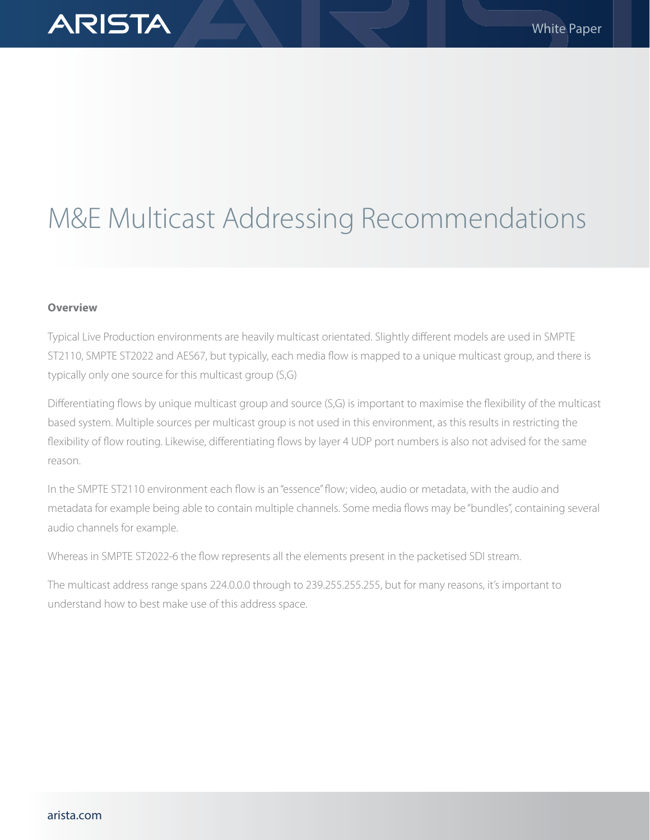# M&E Multicast Addressing Recommendations

# **Overview**

ARISTA

Typical Live Production environments are heavily multicast orientated. Slightly different models are used in SMPTE ST2110, SMPTE ST2022 and AES67, but typically, each media flow is mapped to a unique multicast group, and there is typically only one source for this multicast group (S,G)

Differentiating flows by unique multicast group and source (S,G) is important to maximise the flexibility of the multicast based system. Multiple sources per multicast group is not used in this environment, as this results in restricting the flexibility of flow routing. Likewise, differentiating flows by layer 4 UDP port numbers is also not advised for the same reason.

In the SMPTE ST2110 environment each flow is an "essence" flow; video, audio or metadata, with the audio and metadata for example being able to contain multiple channels. Some media flows may be "bundles", containing several audio channels for example.

Whereas in SMPTE ST2022-6 the flow represents all the elements present in the packetised SDI stream.

The multicast address range spans 224.0.0.0 through to 239.255.255.255, but for many reasons, it's important to understand how to best make use of this address space.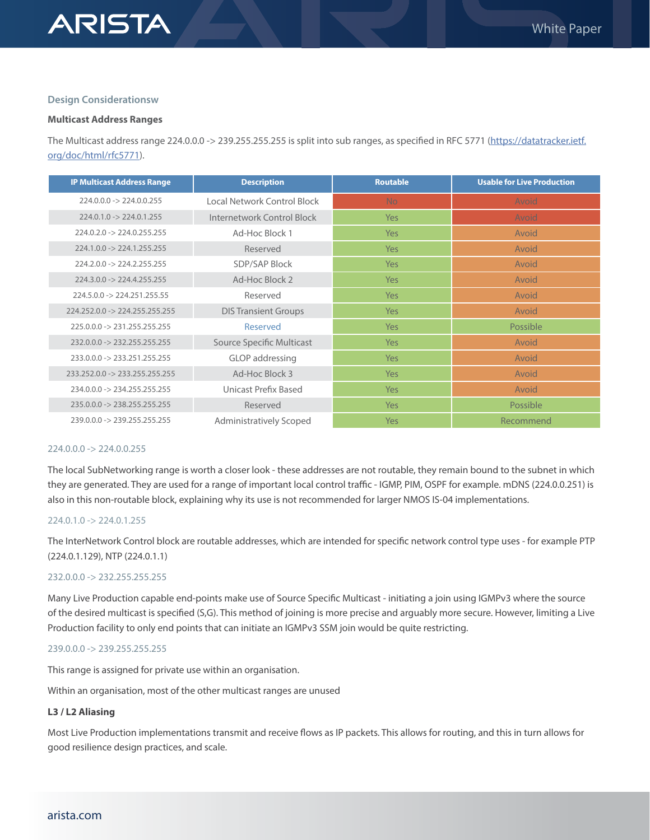# **ARISTA**

#### **Design Considerationsw**

#### **Multicast Address Ranges**

The Multicast address range 224.0.0.0 -> 239.255.255.255 is split into sub ranges, as specified in RFC 5771 [\(https://datatracker.ietf.](https://datatracker.ietf.org/doc/html/rfc5771) [org/doc/html/rfc5771](https://datatracker.ietf.org/doc/html/rfc5771)).

| <b>IP Multicast Address Range</b>         | <b>Description</b>          | <b>Routable</b> | <b>Usable for Live Production</b> |
|-------------------------------------------|-----------------------------|-----------------|-----------------------------------|
| $224.0.0.0 - 224.0.0.255$                 | Local Network Control Block | <b>No</b>       | Avoid                             |
| $224.0.1.0 \rightarrow 224.0.1.255$       | Internetwork Control Block  | Yes             | Avoid                             |
| $224.0.2.0 \rightarrow 224.0.255.255$     | Ad-Hoc Block 1              | Yes             | Avoid                             |
| $224.1.0.0 -> 224.1.255.255$              | Reserved                    | Yes             | Avoid                             |
| $224.2.0.0 -> 224.2.255.255$              | <b>SDP/SAP Block</b>        | Yes             | Avoid                             |
| $224.3.0.0 \rightarrow 224.4.255.255$     | Ad-Hoc Block 2              | Yes             | Avoid                             |
| $224.5.0.0 -> 224.251.255.55$             | Reserved                    | Yes             | Avoid                             |
| $224.252.0.0 \rightarrow 224.255.255.255$ | <b>DIS Transient Groups</b> | Yes             | Avoid                             |
| 225.0.0.0 -> 231.255.255.255              | Reserved                    | Yes             | Possible                          |
| $232.0.0.0 \rightarrow 232.255.255.255$   | Source Specific Multicast   | Yes             | Avoid                             |
| $233.0.0.0 - 233.251.255.255$             | GLOP addressing             | Yes             | Avoid                             |
| $233.252.0.0 -> 233.255.255.255$          | Ad-Hoc Block 3              | Yes             | Avoid                             |
| 234.0.0.0 -> 234.255.255.255              | Unicast Prefix Based        | Yes             | Avoid                             |
| $235.0.0.0 \rightarrow 238.255.255.255$   | Reserved                    | Yes             | Possible                          |
| 239.0.0.0 -> 239.255.255.255              | Administratively Scoped     | Yes             | Recommend                         |

#### 224.0.0.0 -> 224.0.0.255

The local SubNetworking range is worth a closer look - these addresses are not routable, they remain bound to the subnet in which they are generated. They are used for a range of important local control traffic - IGMP, PIM, OSPF for example. mDNS (224.0.0.251) is also in this non-routable block, explaining why its use is not recommended for larger NMOS IS-04 implementations.

# 224.0.1.0 -> 224.0.1.255

The InterNetwork Control block are routable addresses, which are intended for specific network control type uses - for example PTP (224.0.1.129), NTP (224.0.1.1)

# 232.0.0.0 -> 232.255.255.255

Many Live Production capable end-points make use of Source Specific Multicast - initiating a join using IGMPv3 where the source of the desired multicast is specified (S,G). This method of joining is more precise and arguably more secure. However, limiting a Live Production facility to only end points that can initiate an IGMPv3 SSM join would be quite restricting.

# 239.0.0.0 -> 239.255.255.255

This range is assigned for private use within an organisation.

Within an organisation, most of the other multicast ranges are unused

# **L3 / L2 Aliasing**

Most Live Production implementations transmit and receive flows as IP packets. This allows for routing, and this in turn allows for good resilience design practices, and scale.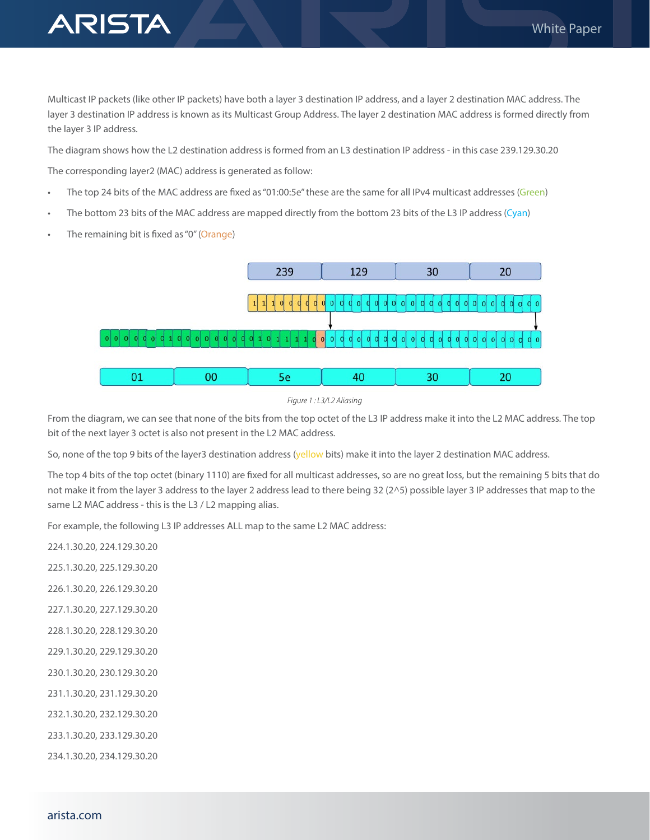

Multicast IP packets (like other IP packets) have both a layer 3 destination IP address, and a layer 2 destination MAC address. The layer 3 destination IP address is known as its Multicast Group Address. The layer 2 destination MAC address is formed directly from the layer 3 IP address.

The diagram shows how the L2 destination address is formed from an L3 destination IP address - in this case 239.129.30.20

The corresponding layer2 (MAC) address is generated as follow:

- The top 24 bits of the MAC address are fixed as "01:00:5e" these are the same for all IPv4 multicast addresses (Green)
- The bottom 23 bits of the MAC address are mapped directly from the bottom 23 bits of the L3 IP address (Cyan)
- The remaining bit is fixed as "0" (Orange)





From the diagram, we can see that none of the bits from the top octet of the L3 IP address make it into the L2 MAC address. The top bit of the next layer 3 octet is also not present in the L2 MAC address.

So, none of the top 9 bits of the layer3 destination address (yellow bits) make it into the layer 2 destination MAC address.

The top 4 bits of the top octet (binary 1110) are fixed for all multicast addresses, so are no great loss, but the remaining 5 bits that do not make it from the layer 3 address to the layer 2 address lead to there being 32 (2^5) possible layer 3 IP addresses that map to the same L2 MAC address - this is the L3 / L2 mapping alias.

For example, the following L3 IP addresses ALL map to the same L2 MAC address:

224.1.30.20, 224.129.30.20

225.1.30.20, 225.129.30.20

226.1.30.20, 226.129.30.20

- 227.1.30.20, 227.129.30.20
- 228.1.30.20, 228.129.30.20
- 229.1.30.20, 229.129.30.20
- 230.1.30.20, 230.129.30.20
- 231.1.30.20, 231.129.30.20
- 232.1.30.20, 232.129.30.20
- 233.1.30.20, 233.129.30.20

234.1.30.20, 234.129.30.20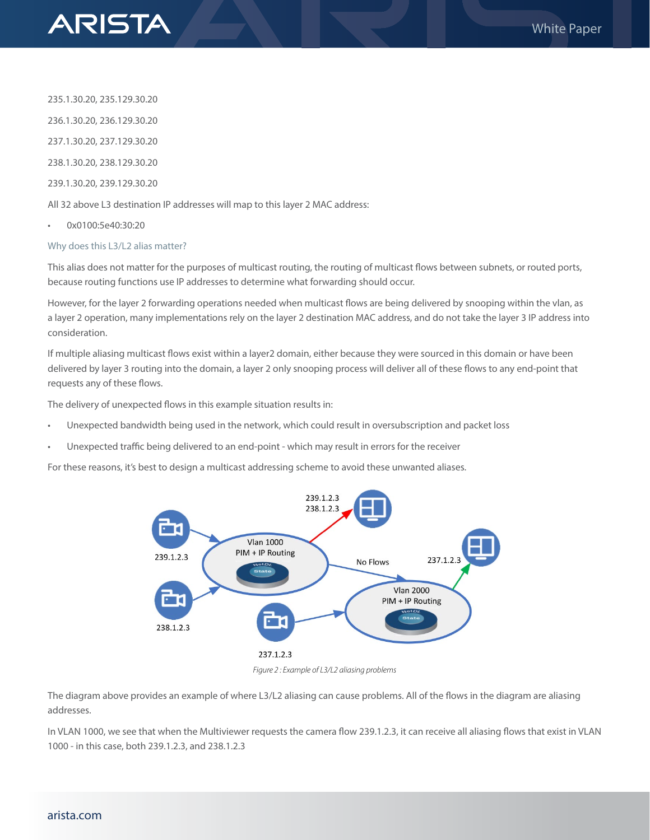

235.1.30.20, 235.129.30.20

236.1.30.20, 236.129.30.20

237.1.30.20, 237.129.30.20

238.1.30.20, 238.129.30.20

239.1.30.20, 239.129.30.20

All 32 above L3 destination IP addresses will map to this layer 2 MAC address:

• 0x0100:5e40:30:20

# Why does this L3/L2 alias matter?

This alias does not matter for the purposes of multicast routing, the routing of multicast flows between subnets, or routed ports, because routing functions use IP addresses to determine what forwarding should occur.

However, for the layer 2 forwarding operations needed when multicast flows are being delivered by snooping within the vlan, as a layer 2 operation, many implementations rely on the layer 2 destination MAC address, and do not take the layer 3 IP address into consideration.

If multiple aliasing multicast flows exist within a layer2 domain, either because they were sourced in this domain or have been delivered by layer 3 routing into the domain, a layer 2 only snooping process will deliver all of these flows to any end-point that requests any of these flows.

The delivery of unexpected flows in this example situation results in:

- Unexpected bandwidth being used in the network, which could result in oversubscription and packet loss
- Unexpected traffic being delivered to an end-point which may result in errors for the receiver

For these reasons, it's best to design a multicast addressing scheme to avoid these unwanted aliases.



*Figure 2 : Example of L3/L2 aliasing problems*

The diagram above provides an example of where L3/L2 aliasing can cause problems. All of the flows in the diagram are aliasing addresses.

In VLAN 1000, we see that when the Multiviewer requests the camera flow 239.1.2.3, it can receive all aliasing flows that exist in VLAN 1000 - in this case, both 239.1.2.3, and 238.1.2.3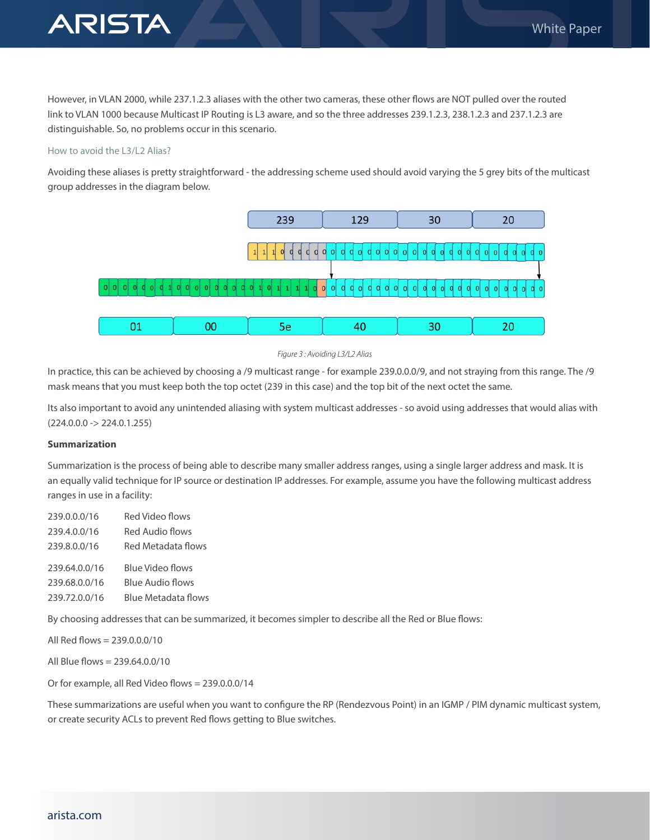

However, in VLAN 2000, while 237.1.2.3 aliases with the other two cameras, these other flows are NOT pulled over the routed link to VLAN 1000 because Multicast IP Routing is L3 aware, and so the three addresses 239.1.2.3, 238.1.2.3 and 237.1.2.3 are distinguishable. So, no problems occur in this scenario.

#### How to avoid the L3/L2 Alias?

Avoiding these aliases is pretty straightforward - the addressing scheme used should avoid varying the 5 grey bits of the multicast group addresses in the diagram below.



#### *Figure 3 : Avoiding L3/L2 Alias*

In practice, this can be achieved by choosing a /9 multicast range - for example 239.0.0.0/9, and not straying from this range. The /9 mask means that you must keep both the top octet (239 in this case) and the top bit of the next octet the same.

Its also important to avoid any unintended aliasing with system multicast addresses - so avoid using addresses that would alias with  $(224.0.0.0 -> 224.0.1.255)$ 

### **Summarization**

Summarization is the process of being able to describe many smaller address ranges, using a single larger address and mask. It is an equally valid technique for IP source or destination IP addresses. For example, assume you have the following multicast address ranges in use in a facility:

| 239.0.0.0/16  | Red Video flows     |
|---------------|---------------------|
| 239.4.0.0/16  | Red Audio flows     |
| 239.8.0.0/16  | Red Metadata flows  |
| 239,64,0,0/16 | Blue Video flows    |
| 239,68,0,0/16 | Blue Audio flows    |
|               |                     |
| 239.72.0.0/16 | Blue Metadata flows |

By choosing addresses that can be summarized, it becomes simpler to describe all the Red or Blue flows:

All Red flows = 239.0.0.0/10

All Blue flows = 239.64.0.0/10

Or for example, all Red Video flows = 239.0.0.0/14

These summarizations are useful when you want to configure the RP (Rendezvous Point) in an IGMP / PIM dynamic multicast system, or create security ACLs to prevent Red flows getting to Blue switches.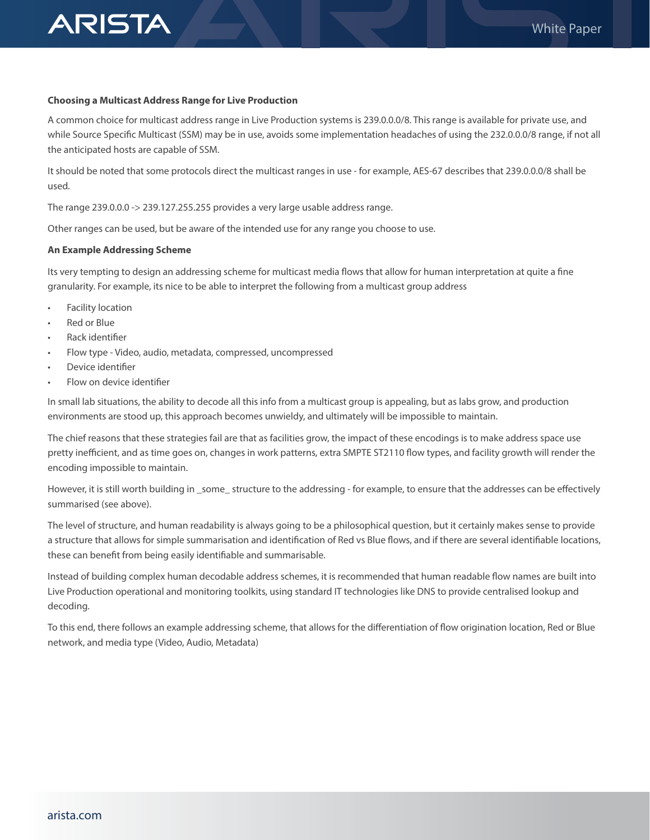

#### **Choosing a Multicast Address Range for Live Production**

A common choice for multicast address range in Live Production systems is 239.0.0.0/8. This range is available for private use, and while Source Specific Multicast (SSM) may be in use, avoids some implementation headaches of using the 232.0.0.0/8 range, if not all the anticipated hosts are capable of SSM.

It should be noted that some protocols direct the multicast ranges in use - for example, AES-67 describes that 239.0.0.0/8 shall be used.

The range 239.0.0.0 -> 239.127.255.255 provides a very large usable address range.

Other ranges can be used, but be aware of the intended use for any range you choose to use.

#### **An Example Addressing Scheme**

Its very tempting to design an addressing scheme for multicast media flows that allow for human interpretation at quite a fine granularity. For example, its nice to be able to interpret the following from a multicast group address

- Facility location
- **Red or Blue**
- Rack identifier
- Flow type Video, audio, metadata, compressed, uncompressed
- Device identifier
- Flow on device identifier

In small lab situations, the ability to decode all this info from a multicast group is appealing, but as labs grow, and production environments are stood up, this approach becomes unwieldy, and ultimately will be impossible to maintain.

The chief reasons that these strategies fail are that as facilities grow, the impact of these encodings is to make address space use pretty inefficient, and as time goes on, changes in work patterns, extra SMPTE ST2110 flow types, and facility growth will render the encoding impossible to maintain.

However, it is still worth building in \_some\_ structure to the addressing - for example, to ensure that the addresses can be effectively summarised (see above).

The level of structure, and human readability is always going to be a philosophical question, but it certainly makes sense to provide a structure that allows for simple summarisation and identification of Red vs Blue flows, and if there are several identifiable locations, these can benefit from being easily identifiable and summarisable.

Instead of building complex human decodable address schemes, it is recommended that human readable flow names are built into Live Production operational and monitoring toolkits, using standard IT technologies like DNS to provide centralised lookup and decoding.

To this end, there follows an example addressing scheme, that allows for the differentiation of flow origination location, Red or Blue network, and media type (Video, Audio, Metadata)